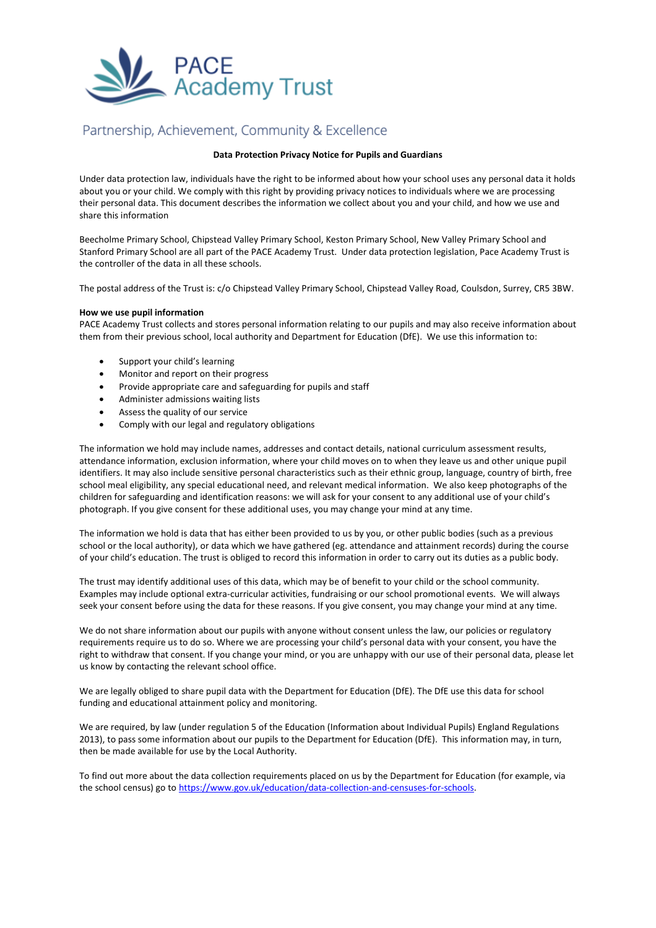

# Partnership, Achievement, Community & Excellence

## **Data Protection Privacy Notice for Pupils and Guardians**

Under data protection law, individuals have the right to be informed about how your school uses any personal data it holds about you or your child. We comply with this right by providing privacy notices to individuals where we are processing their personal data. This document describes the information we collect about you and your child, and how we use and share this information

Beecholme Primary School, Chipstead Valley Primary School, Keston Primary School, New Valley Primary School and Stanford Primary School are all part of the PACE Academy Trust. Under data protection legislation, Pace Academy Trust is the controller of the data in all these schools.

The postal address of the Trust is: c/o Chipstead Valley Primary School, Chipstead Valley Road, Coulsdon, Surrey, CR5 3BW.

### **How we use pupil information**

PACE Academy Trust collects and stores personal information relating to our pupils and may also receive information about them from their previous school, local authority and Department for Education (DfE). We use this information to:

- Support your child's learning
- Monitor and report on their progress
- Provide appropriate care and safeguarding for pupils and staff
- Administer admissions waiting lists
- Assess the quality of our service
- Comply with our legal and regulatory obligations

The information we hold may include names, addresses and contact details, national curriculum assessment results, attendance information, exclusion information, where your child moves on to when they leave us and other unique pupil identifiers. It may also include sensitive personal characteristics such as their ethnic group, language, country of birth, free school meal eligibility, any special educational need, and relevant medical information. We also keep photographs of the children for safeguarding and identification reasons: we will ask for your consent to any additional use of your child's photograph. If you give consent for these additional uses, you may change your mind at any time.

The information we hold is data that has either been provided to us by you, or other public bodies (such as a previous school or the local authority), or data which we have gathered (eg. attendance and attainment records) during the course of your child's education. The trust is obliged to record this information in order to carry out its duties as a public body.

The trust may identify additional uses of this data, which may be of benefit to your child or the school community. Examples may include optional extra-curricular activities, fundraising or our school promotional events. We will always seek your consent before using the data for these reasons. If you give consent, you may change your mind at any time.

We do not share information about our pupils with anyone without consent unless the law, our policies or regulatory requirements require us to do so. Where we are processing your child's personal data with your consent, you have the right to withdraw that consent. If you change your mind, or you are unhappy with our use of their personal data, please let us know by contacting the relevant school office.

We are legally obliged to share pupil data with the Department for Education (DfE). The DfE use this data for school funding and educational attainment policy and monitoring.

We are required, by law (under regulation 5 of the Education (Information about Individual Pupils) England Regulations 2013), to pass some information about our pupils to the Department for Education (DfE). This information may, in turn, then be made available for use by the Local Authority.

To find out more about the data collection requirements placed on us by the Department for Education (for example, via the school census) go t[o https://www.gov.uk/education/data-collection-and-censuses-for-schools.](https://www.gov.uk/education/data-collection-and-censuses-for-schools)